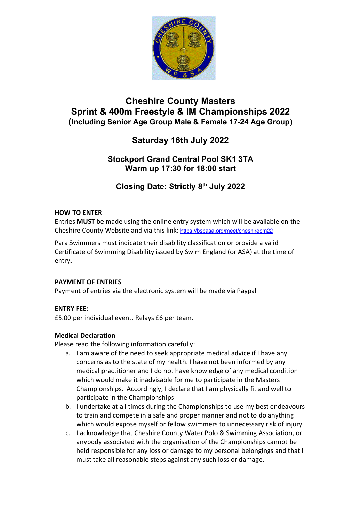

# **Cheshire County Masters Sprint & 400m Freestyle & IM Championships 2022 (Including Senior Age Group Male & Female 17-24 Age Group)**

# **Saturday 16th July 2022**

## **Stockport Grand Central Pool SK1 3TA Warm up 17:30 for 18:00 start**

**Closing Date: Strictly 8th July 2022**

## **HOW TO ENTER**

Entries **MUST** be made using the online entry system which will be available on the Cheshire County Website and via this link: https://bsbasa.org/meet/cheshirecm22

Para Swimmers must indicate their disability classification or provide a valid Certificate of Swimming Disability issued by Swim England (or ASA) at the time of entry.

## **PAYMENT OF ENTRIES**

Payment of entries via the electronic system will be made via Paypal

## **ENTRY FEE:**

£5.00 per individual event. Relays £6 per team.

## **Medical Declaration**

Please read the following information carefully:

- a. I am aware of the need to seek appropriate medical advice if I have any concerns as to the state of my health. I have not been informed by any medical practitioner and I do not have knowledge of any medical condition which would make it inadvisable for me to participate in the Masters Championships. Accordingly, I declare that I am physically fit and well to participate in the Championships
- b. I undertake at all times during the Championships to use my best endeavours to train and compete in a safe and proper manner and not to do anything which would expose myself or fellow swimmers to unnecessary risk of injury
- c. I acknowledge that Cheshire County Water Polo & Swimming Association, or anybody associated with the organisation of the Championships cannot be held responsible for any loss or damage to my personal belongings and that I must take all reasonable steps against any such loss or damage.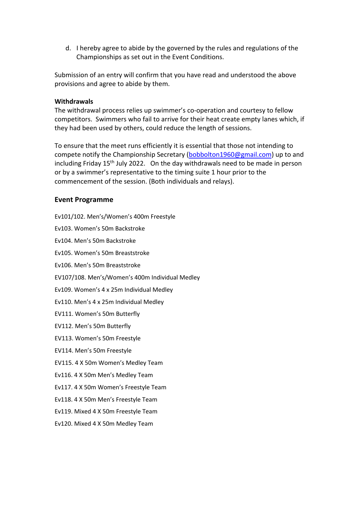d. I hereby agree to abide by the governed by the rules and regulations of the Championships as set out in the Event Conditions.

Submission of an entry will confirm that you have read and understood the above provisions and agree to abide by them.

#### **Withdrawals**

The withdrawal process relies up swimmer's co-operation and courtesy to fellow competitors. Swimmers who fail to arrive for their heat create empty lanes which, if they had been used by others, could reduce the length of sessions.

To ensure that the meet runs efficiently it is essential that those not intending to compete notify the Championship Secretary (bobbolton1960@gmail.com) up to and including Friday 15<sup>th</sup> July 2022. On the day withdrawals need to be made in person or by a swimmer's representative to the timing suite 1 hour prior to the commencement of the session. (Both individuals and relays).

#### **Event Programme**

| Ev101/102. Men's/Women's 400m Freestyle         |
|-------------------------------------------------|
| Ev103. Women's 50m Backstroke                   |
| Ev104. Men's 50m Backstroke                     |
| Ev105. Women's 50m Breaststroke                 |
| Ev106. Men's 50m Breaststroke                   |
| EV107/108. Men's/Women's 400m Individual Medley |
| Ev109. Women's 4 x 25m Individual Medley        |
| Ev110. Men's 4 x 25m Individual Medley          |
| EV111. Women's 50m Butterfly                    |
| EV112. Men's 50m Butterfly                      |
| EV113. Women's 50m Freestyle                    |
| EV114. Men's 50m Freestyle                      |
| EV115. 4 X 50m Women's Medley Team              |
| Ev116. 4 X 50m Men's Medley Team                |
| Ev117. 4 X 50m Women's Freestyle Team           |
| Ev118. 4 X 50m Men's Freestyle Team             |
| Ev119. Mixed 4 X 50m Freestyle Team             |
| Ev120. Mixed 4 X 50m Medley Team                |
|                                                 |
|                                                 |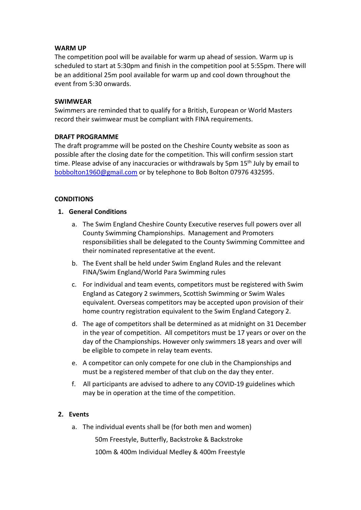#### **WARM UP**

The competition pool will be available for warm up ahead of session. Warm up is scheduled to start at 5:30pm and finish in the competition pool at 5:55pm. There will be an additional 25m pool available for warm up and cool down throughout the event from 5:30 onwards.

#### **SWIMWEAR**

Swimmers are reminded that to qualify for a British, European or World Masters record their swimwear must be compliant with FINA requirements.

#### **DRAFT PROGRAMME**

The draft programme will be posted on the Cheshire County website as soon as possible after the closing date for the competition. This will confirm session start time. Please advise of any inaccuracies or withdrawals by 5pm 15<sup>th</sup> July by email to bobbolton1960@gmail.com or by telephone to Bob Bolton 07976 432595.

#### **CONDITIONS**

- **1. General Conditions**
	- a. The Swim England Cheshire County Executive reserves full powers over all County Swimming Championships. Management and Promoters responsibilities shall be delegated to the County Swimming Committee and their nominated representative at the event.
	- b. The Event shall be held under Swim England Rules and the relevant FINA/Swim England/World Para Swimming rules
	- c. For individual and team events, competitors must be registered with Swim England as Category 2 swimmers, Scottish Swimming or Swim Wales equivalent. Overseas competitors may be accepted upon provision of their home country registration equivalent to the Swim England Category 2.
	- d. The age of competitors shall be determined as at midnight on 31 December in the year of competition. All competitors must be 17 years or over on the day of the Championships. However only swimmers 18 years and over will be eligible to compete in relay team events.
	- e. A competitor can only compete for one club in the Championships and must be a registered member of that club on the day they enter.
	- f. All participants are advised to adhere to any COVID-19 guidelines which may be in operation at the time of the competition.

#### **2. Events**

a. The individual events shall be (for both men and women)

50m Freestyle, Butterfly, Backstroke & Backstroke

100m & 400m Individual Medley & 400m Freestyle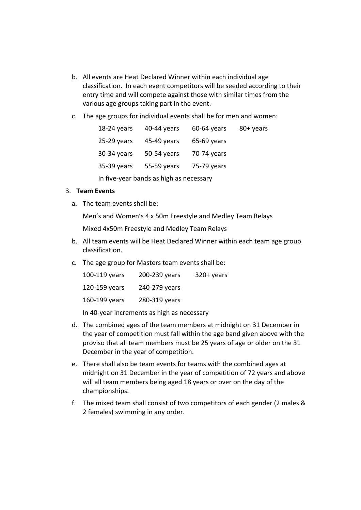- b. All events are Heat Declared Winner within each individual age classification. In each event competitors will be seeded according to their entry time and will compete against those with similar times from the various age groups taking part in the event.
- c. The age groups for individual events shall be for men and women:

| 18-24 years                             | 40-44 years | $60-64$ years | 80+ years |  |
|-----------------------------------------|-------------|---------------|-----------|--|
| $25-29$ years                           | 45-49 years | 65-69 years   |           |  |
| 30-34 years                             | 50-54 years | 70-74 years   |           |  |
| 35-39 years                             | 55-59 years | 75-79 years   |           |  |
| In five-year bands as high as necessary |             |               |           |  |

## 3. **Team Events**

a. The team events shall be:

Men's and Women's 4 x 50m Freestyle and Medley Team Relays

Mixed 4x50m Freestyle and Medley Team Relays

- b. All team events will be Heat Declared Winner within each team age group classification.
- c. The age group for Masters team events shall be:

| 100-119 years | 200-239 years | $320+$ years |
|---------------|---------------|--------------|
| 120-159 years | 240-279 years |              |
| 160-199 years | 280-319 years |              |

In 40-year increments as high as necessary

- d. The combined ages of the team members at midnight on 31 December in the year of competition must fall within the age band given above with the proviso that all team members must be 25 years of age or older on the 31 December in the year of competition.
- e. There shall also be team events for teams with the combined ages at midnight on 31 December in the year of competition of 72 years and above will all team members being aged 18 years or over on the day of the championships.
- f. The mixed team shall consist of two competitors of each gender (2 males & 2 females) swimming in any order.